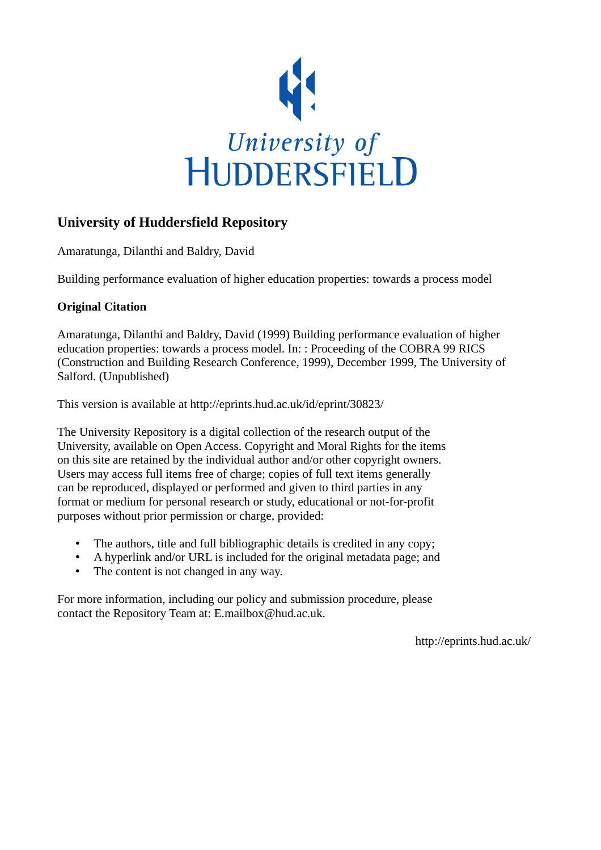

# **University of Huddersfield Repository**

Amaratunga, Dilanthi and Baldry, David

Building performance evaluation of higher education properties: towards a process model

### **Original Citation**

Amaratunga, Dilanthi and Baldry, David (1999) Building performance evaluation of higher education properties: towards a process model. In: : Proceeding of the COBRA 99 RICS (Construction and Building Research Conference, 1999), December 1999, The University of Salford. (Unpublished)

This version is available at http://eprints.hud.ac.uk/id/eprint/30823/

The University Repository is a digital collection of the research output of the University, available on Open Access. Copyright and Moral Rights for the items on this site are retained by the individual author and/or other copyright owners. Users may access full items free of charge; copies of full text items generally can be reproduced, displayed or performed and given to third parties in any format or medium for personal research or study, educational or not-for-profit purposes without prior permission or charge, provided:

- The authors, title and full bibliographic details is credited in any copy;
- A hyperlink and/or URL is included for the original metadata page; and
- The content is not changed in any way.

For more information, including our policy and submission procedure, please contact the Repository Team at: E.mailbox@hud.ac.uk.

http://eprints.hud.ac.uk/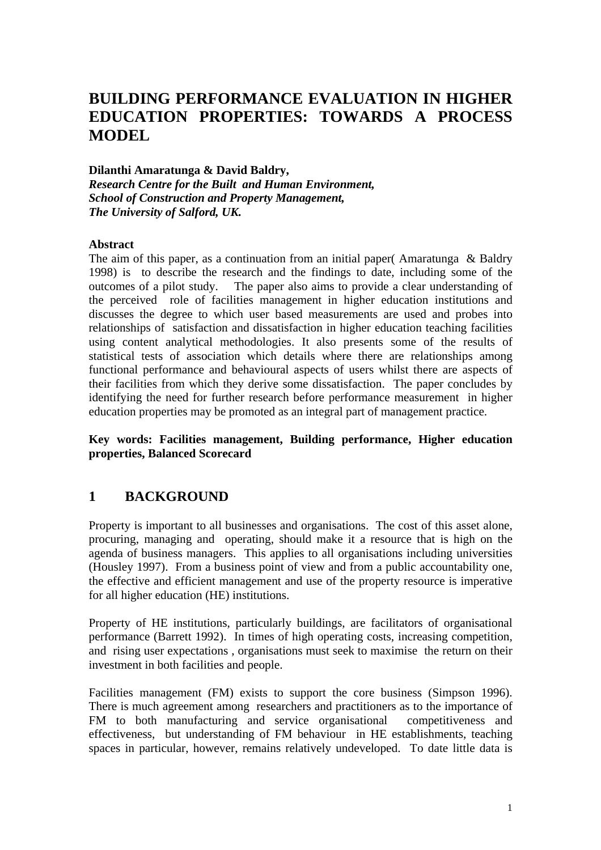# **BUILDING PERFORMANCE EVALUATION IN HIGHER EDUCATION PROPERTIES: TOWARDS A PROCESS MODEL**

**Dilanthi Amaratunga & David Baldry,**  *Research Centre for the Built and Human Environment, School of Construction and Property Management, The University of Salford, UK.* 

#### **Abstract**

The aim of this paper, as a continuation from an initial paper( Amaratunga & Baldry 1998) is to describe the research and the findings to date, including some of the outcomes of a pilot study. The paper also aims to provide a clear understanding of the perceived role of facilities management in higher education institutions and discusses the degree to which user based measurements are used and probes into relationships of satisfaction and dissatisfaction in higher education teaching facilities using content analytical methodologies. It also presents some of the results of statistical tests of association which details where there are relationships among functional performance and behavioural aspects of users whilst there are aspects of their facilities from which they derive some dissatisfaction. The paper concludes by identifying the need for further research before performance measurement in higher education properties may be promoted as an integral part of management practice.

**Key words: Facilities management, Building performance, Higher education properties, Balanced Scorecard** 

### **1 BACKGROUND**

Property is important to all businesses and organisations. The cost of this asset alone, procuring, managing and operating, should make it a resource that is high on the agenda of business managers. This applies to all organisations including universities (Housley 1997). From a business point of view and from a public accountability one, the effective and efficient management and use of the property resource is imperative for all higher education (HE) institutions.

Property of HE institutions, particularly buildings, are facilitators of organisational performance (Barrett 1992). In times of high operating costs, increasing competition, and rising user expectations , organisations must seek to maximise the return on their investment in both facilities and people.

Facilities management (FM) exists to support the core business (Simpson 1996). There is much agreement among researchers and practitioners as to the importance of FM to both manufacturing and service organisational competitiveness and effectiveness, but understanding of FM behaviour in HE establishments, teaching spaces in particular, however, remains relatively undeveloped. To date little data is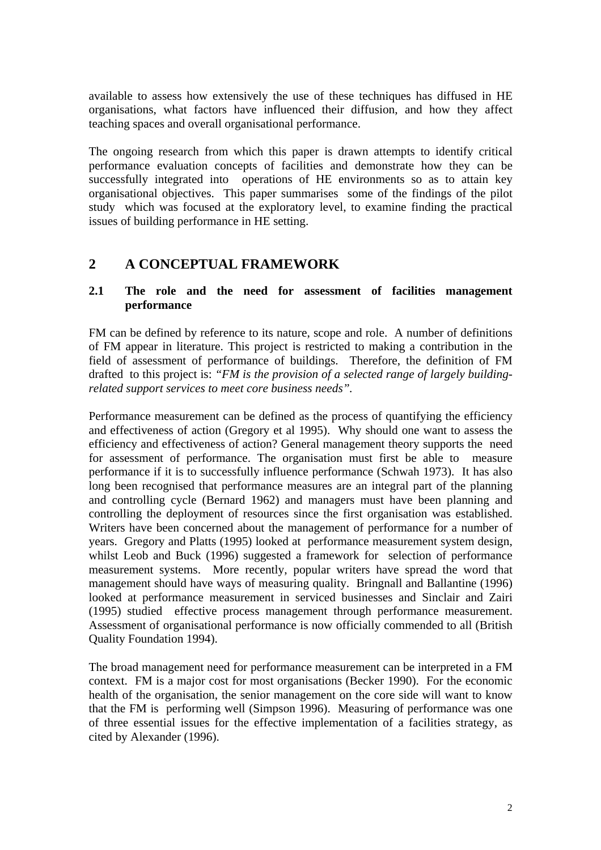available to assess how extensively the use of these techniques has diffused in HE organisations, what factors have influenced their diffusion, and how they affect teaching spaces and overall organisational performance.

The ongoing research from which this paper is drawn attempts to identify critical performance evaluation concepts of facilities and demonstrate how they can be successfully integrated into operations of HE environments so as to attain key organisational objectives. This paper summarises some of the findings of the pilot study which was focused at the exploratory level, to examine finding the practical issues of building performance in HE setting.

### **2 A CONCEPTUAL FRAMEWORK**

#### **2.1 The role and the need for assessment of facilities management performance**

FM can be defined by reference to its nature, scope and role. A number of definitions of FM appear in literature. This project is restricted to making a contribution in the field of assessment of performance of buildings. Therefore, the definition of FM drafted to this project is: *"FM is the provision of a selected range of largely buildingrelated support services to meet core business needs".*

Performance measurement can be defined as the process of quantifying the efficiency and effectiveness of action (Gregory et al 1995). Why should one want to assess the efficiency and effectiveness of action? General management theory supports the need for assessment of performance. The organisation must first be able to measure performance if it is to successfully influence performance (Schwah 1973). It has also long been recognised that performance measures are an integral part of the planning and controlling cycle (Bernard 1962) and managers must have been planning and controlling the deployment of resources since the first organisation was established. Writers have been concerned about the management of performance for a number of years. Gregory and Platts (1995) looked at performance measurement system design, whilst Leob and Buck (1996) suggested a framework for selection of performance measurement systems. More recently, popular writers have spread the word that management should have ways of measuring quality. Bringnall and Ballantine (1996) looked at performance measurement in serviced businesses and Sinclair and Zairi (1995) studied effective process management through performance measurement. Assessment of organisational performance is now officially commended to all (British Quality Foundation 1994).

The broad management need for performance measurement can be interpreted in a FM context. FM is a major cost for most organisations (Becker 1990). For the economic health of the organisation, the senior management on the core side will want to know that the FM is performing well (Simpson 1996). Measuring of performance was one of three essential issues for the effective implementation of a facilities strategy, as cited by Alexander (1996).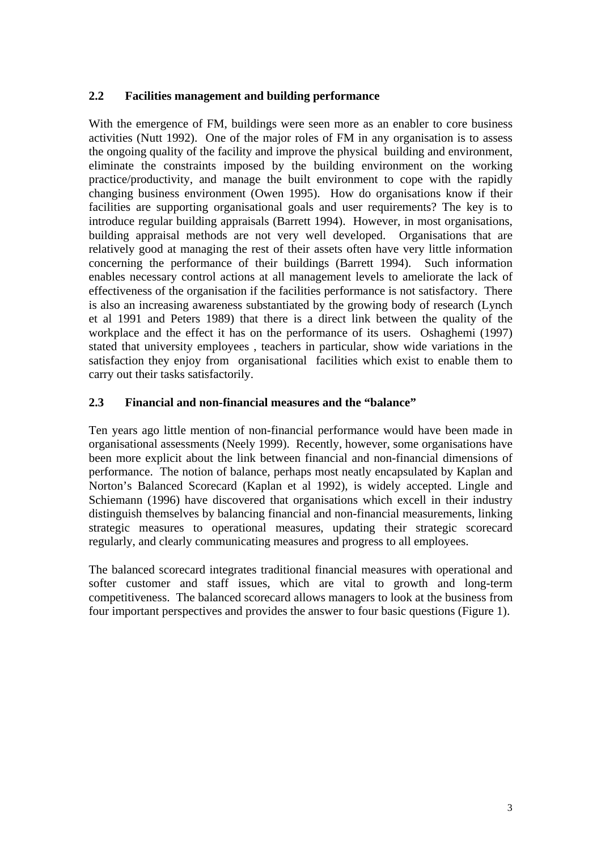### **2.2 Facilities management and building performance**

With the emergence of FM, buildings were seen more as an enabler to core business activities (Nutt 1992). One of the major roles of FM in any organisation is to assess the ongoing quality of the facility and improve the physical building and environment, eliminate the constraints imposed by the building environment on the working practice/productivity, and manage the built environment to cope with the rapidly changing business environment (Owen 1995). How do organisations know if their facilities are supporting organisational goals and user requirements? The key is to introduce regular building appraisals (Barrett 1994). However, in most organisations, building appraisal methods are not very well developed. Organisations that are relatively good at managing the rest of their assets often have very little information concerning the performance of their buildings (Barrett 1994). Such information enables necessary control actions at all management levels to ameliorate the lack of effectiveness of the organisation if the facilities performance is not satisfactory. There is also an increasing awareness substantiated by the growing body of research (Lynch et al 1991 and Peters 1989) that there is a direct link between the quality of the workplace and the effect it has on the performance of its users. Oshaghemi (1997) stated that university employees , teachers in particular, show wide variations in the satisfaction they enjoy from organisational facilities which exist to enable them to carry out their tasks satisfactorily.

### **2.3 Financial and non-financial measures and the "balance"**

Ten years ago little mention of non-financial performance would have been made in organisational assessments (Neely 1999). Recently, however, some organisations have been more explicit about the link between financial and non-financial dimensions of performance. The notion of balance, perhaps most neatly encapsulated by Kaplan and Norton's Balanced Scorecard (Kaplan et al 1992), is widely accepted. Lingle and Schiemann (1996) have discovered that organisations which excell in their industry distinguish themselves by balancing financial and non-financial measurements, linking strategic measures to operational measures, updating their strategic scorecard regularly, and clearly communicating measures and progress to all employees.

The balanced scorecard integrates traditional financial measures with operational and softer customer and staff issues, which are vital to growth and long-term competitiveness. The balanced scorecard allows managers to look at the business from four important perspectives and provides the answer to four basic questions (Figure 1).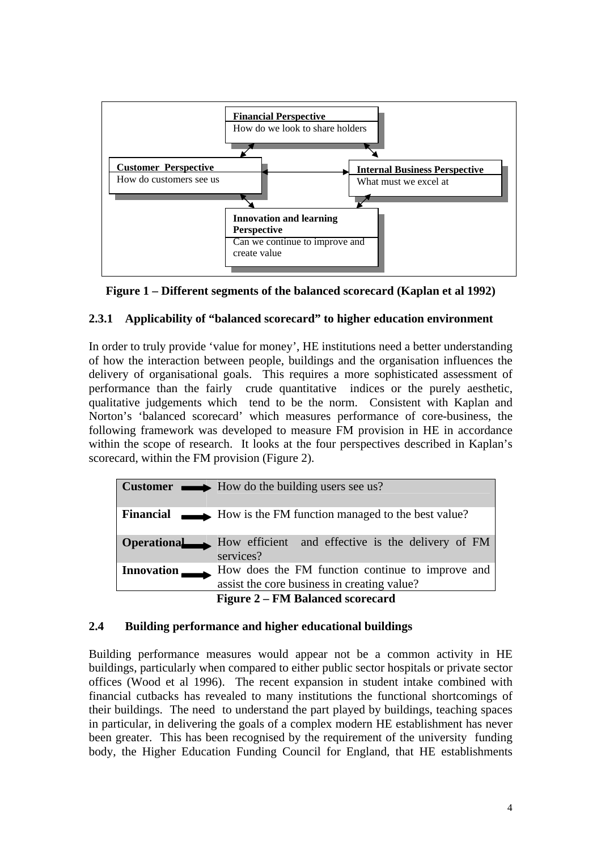



### **2.3.1 Applicability of "balanced scorecard" to higher education environment**

In order to truly provide 'value for money', HE institutions need a better understanding of how the interaction between people, buildings and the organisation influences the delivery of organisational goals. This requires a more sophisticated assessment of performance than the fairly crude quantitative indices or the purely aesthetic, qualitative judgements which tend to be the norm. Consistent with Kaplan and Norton's 'balanced scorecard' which measures performance of core-business, the following framework was developed to measure FM provision in HE in accordance within the scope of research. It looks at the four perspectives described in Kaplan's scorecard, within the FM provision (Figure 2).

|                   | <b>Customer</b> $\longrightarrow$ How do the building users see us?                             |  |  |  |  |  |
|-------------------|-------------------------------------------------------------------------------------------------|--|--|--|--|--|
|                   | <b>Financial</b> How is the FM function managed to the best value?                              |  |  |  |  |  |
|                   | <b>Operational</b> How efficient and effective is the delivery of FM<br>services?               |  |  |  |  |  |
| <b>Innovation</b> | How does the FM function continue to improve and<br>assist the core business in creating value? |  |  |  |  |  |
|                   | <b>Figure 2 – FM Balanced scorecard</b>                                                         |  |  |  |  |  |

### **2.4 Building performance and higher educational buildings**

Building performance measures would appear not be a common activity in HE buildings, particularly when compared to either public sector hospitals or private sector offices (Wood et al 1996). The recent expansion in student intake combined with financial cutbacks has revealed to many institutions the functional shortcomings of their buildings. The need to understand the part played by buildings, teaching spaces in particular, in delivering the goals of a complex modern HE establishment has never been greater. This has been recognised by the requirement of the university funding body, the Higher Education Funding Council for England, that HE establishments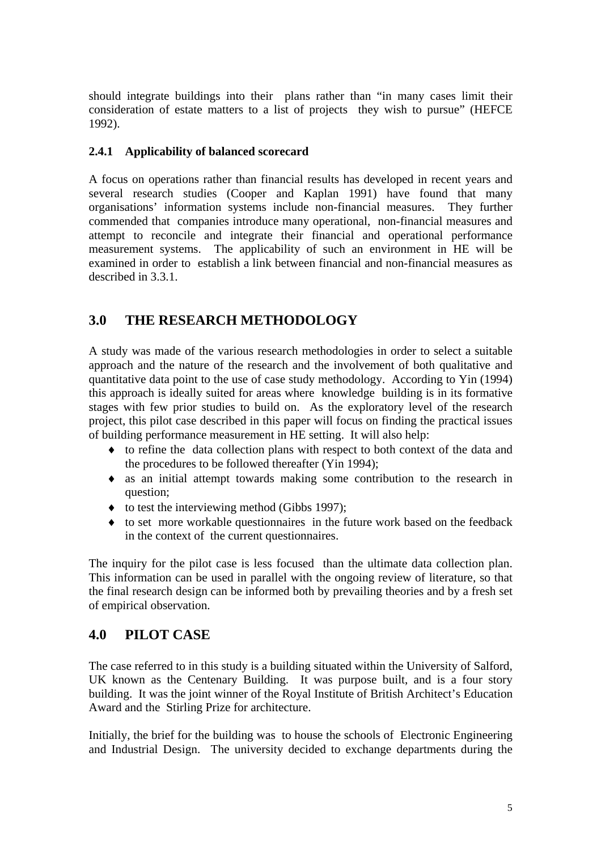should integrate buildings into their plans rather than "in many cases limit their consideration of estate matters to a list of projects they wish to pursue" (HEFCE 1992).

### **2.4.1 Applicability of balanced scorecard**

A focus on operations rather than financial results has developed in recent years and several research studies (Cooper and Kaplan 1991) have found that many organisations' information systems include non-financial measures. They further commended that companies introduce many operational, non-financial measures and attempt to reconcile and integrate their financial and operational performance measurement systems. The applicability of such an environment in HE will be examined in order to establish a link between financial and non-financial measures as described in 3.3.1.

### **3.0 THE RESEARCH METHODOLOGY**

A study was made of the various research methodologies in order to select a suitable approach and the nature of the research and the involvement of both qualitative and quantitative data point to the use of case study methodology. According to Yin (1994) this approach is ideally suited for areas where knowledge building is in its formative stages with few prior studies to build on. As the exploratory level of the research project, this pilot case described in this paper will focus on finding the practical issues of building performance measurement in HE setting. It will also help:

- ♦ to refine the data collection plans with respect to both context of the data and the procedures to be followed thereafter (Yin 1994);
- ♦ as an initial attempt towards making some contribution to the research in question;
- $\bullet$  to test the interviewing method (Gibbs 1997);
- ♦ to set more workable questionnaires in the future work based on the feedback in the context of the current questionnaires.

The inquiry for the pilot case is less focused than the ultimate data collection plan. This information can be used in parallel with the ongoing review of literature, so that the final research design can be informed both by prevailing theories and by a fresh set of empirical observation.

### **4.0 PILOT CASE**

The case referred to in this study is a building situated within the University of Salford, UK known as the Centenary Building. It was purpose built, and is a four story building. It was the joint winner of the Royal Institute of British Architect's Education Award and the Stirling Prize for architecture.

Initially, the brief for the building was to house the schools of Electronic Engineering and Industrial Design. The university decided to exchange departments during the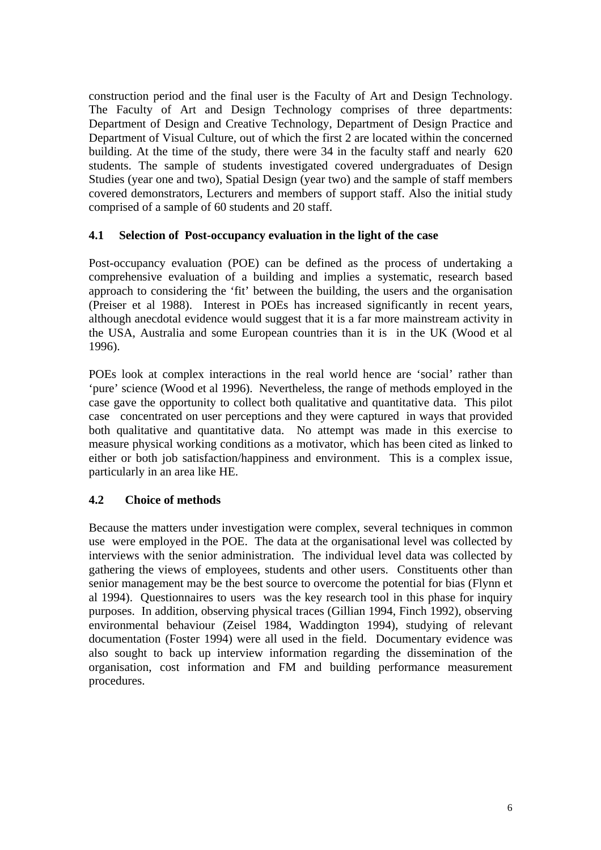construction period and the final user is the Faculty of Art and Design Technology. The Faculty of Art and Design Technology comprises of three departments: Department of Design and Creative Technology, Department of Design Practice and Department of Visual Culture, out of which the first 2 are located within the concerned building. At the time of the study, there were 34 in the faculty staff and nearly 620 students. The sample of students investigated covered undergraduates of Design Studies (year one and two), Spatial Design (year two) and the sample of staff members covered demonstrators, Lecturers and members of support staff. Also the initial study comprised of a sample of 60 students and 20 staff.

#### **4.1 Selection of Post-occupancy evaluation in the light of the case**

Post-occupancy evaluation (POE) can be defined as the process of undertaking a comprehensive evaluation of a building and implies a systematic, research based approach to considering the 'fit' between the building, the users and the organisation (Preiser et al 1988). Interest in POEs has increased significantly in recent years, although anecdotal evidence would suggest that it is a far more mainstream activity in the USA, Australia and some European countries than it is in the UK (Wood et al 1996).

POEs look at complex interactions in the real world hence are 'social' rather than 'pure' science (Wood et al 1996). Nevertheless, the range of methods employed in the case gave the opportunity to collect both qualitative and quantitative data. This pilot case concentrated on user perceptions and they were captured in ways that provided both qualitative and quantitative data. No attempt was made in this exercise to measure physical working conditions as a motivator, which has been cited as linked to either or both job satisfaction/happiness and environment. This is a complex issue, particularly in an area like HE.

### **4.2 Choice of methods**

Because the matters under investigation were complex, several techniques in common use were employed in the POE. The data at the organisational level was collected by interviews with the senior administration. The individual level data was collected by gathering the views of employees, students and other users. Constituents other than senior management may be the best source to overcome the potential for bias (Flynn et al 1994). Questionnaires to users was the key research tool in this phase for inquiry purposes. In addition, observing physical traces (Gillian 1994, Finch 1992), observing environmental behaviour (Zeisel 1984, Waddington 1994), studying of relevant documentation (Foster 1994) were all used in the field. Documentary evidence was also sought to back up interview information regarding the dissemination of the organisation, cost information and FM and building performance measurement procedures.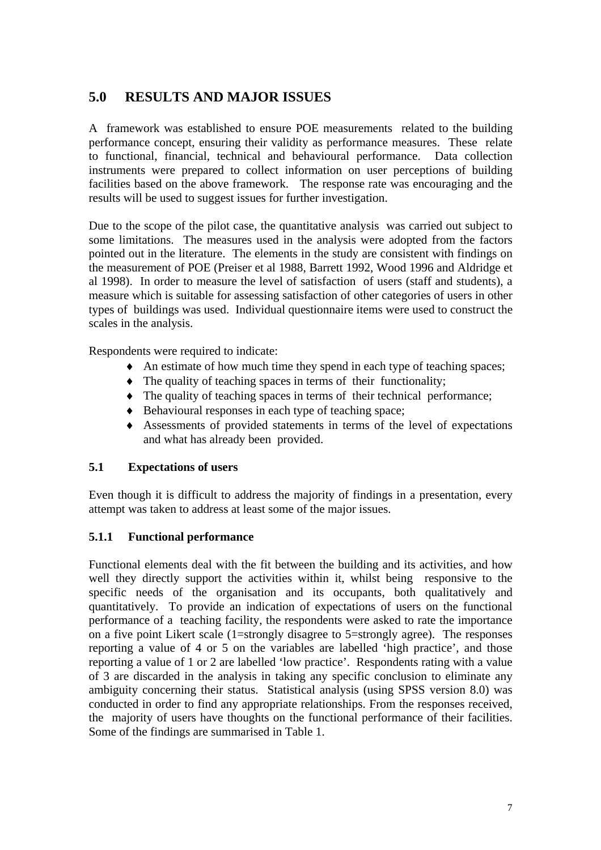# **5.0 RESULTS AND MAJOR ISSUES**

A framework was established to ensure POE measurements related to the building performance concept, ensuring their validity as performance measures. These relate to functional, financial, technical and behavioural performance. Data collection instruments were prepared to collect information on user perceptions of building facilities based on the above framework. The response rate was encouraging and the results will be used to suggest issues for further investigation.

Due to the scope of the pilot case, the quantitative analysis was carried out subject to some limitations. The measures used in the analysis were adopted from the factors pointed out in the literature. The elements in the study are consistent with findings on the measurement of POE (Preiser et al 1988, Barrett 1992, Wood 1996 and Aldridge et al 1998). In order to measure the level of satisfaction of users (staff and students), a measure which is suitable for assessing satisfaction of other categories of users in other types of buildings was used. Individual questionnaire items were used to construct the scales in the analysis.

Respondents were required to indicate:

- ♦ An estimate of how much time they spend in each type of teaching spaces;
- ♦ The quality of teaching spaces in terms of their functionality;
- ♦ The quality of teaching spaces in terms of their technical performance;
- ♦ Behavioural responses in each type of teaching space;
- ♦ Assessments of provided statements in terms of the level of expectations and what has already been provided.

### **5.1 Expectations of users**

Even though it is difficult to address the majority of findings in a presentation, every attempt was taken to address at least some of the major issues.

### **5.1.1 Functional performance**

Functional elements deal with the fit between the building and its activities, and how well they directly support the activities within it, whilst being responsive to the specific needs of the organisation and its occupants, both qualitatively and quantitatively. To provide an indication of expectations of users on the functional performance of a teaching facility, the respondents were asked to rate the importance on a five point Likert scale (1=strongly disagree to 5=strongly agree). The responses reporting a value of 4 or 5 on the variables are labelled 'high practice', and those reporting a value of 1 or 2 are labelled 'low practice'. Respondents rating with a value of 3 are discarded in the analysis in taking any specific conclusion to eliminate any ambiguity concerning their status. Statistical analysis (using SPSS version 8.0) was conducted in order to find any appropriate relationships. From the responses received, the majority of users have thoughts on the functional performance of their facilities. Some of the findings are summarised in Table 1.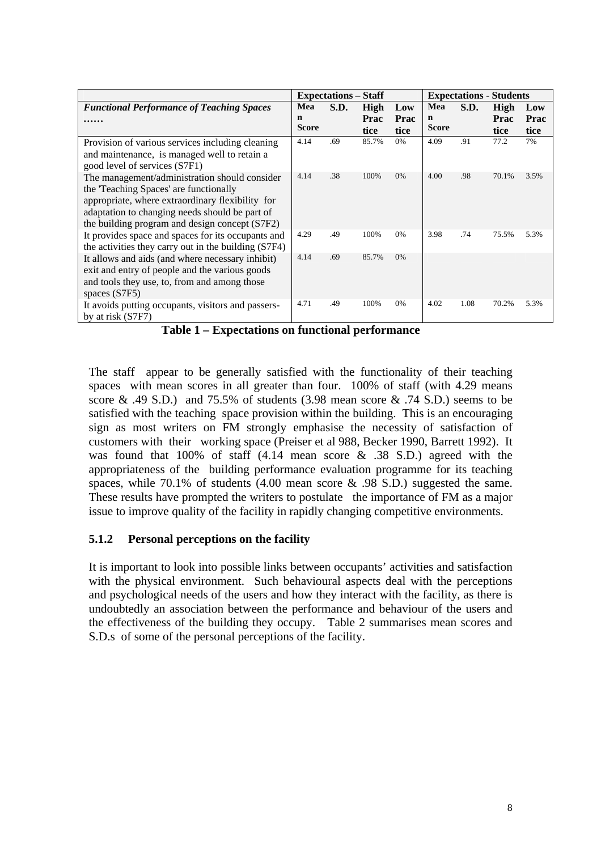|                                                      | <b>Expectations – Staff</b> |      |       | <b>Expectations - Students</b> |              |      |       |      |
|------------------------------------------------------|-----------------------------|------|-------|--------------------------------|--------------|------|-------|------|
| <b>Functional Performance of Teaching Spaces</b>     | Mea                         | S.D. | High  | Low                            | Mea          | S.D. | High  | Low  |
| .                                                    | n                           |      | Prac  | Prac                           | $\mathbf n$  |      | Prac  | Prac |
|                                                      | <b>Score</b>                |      | tice  | tice                           | <b>Score</b> |      | tice  | tice |
| Provision of various services including cleaning     | 4.14                        | .69  | 85.7% | 0%                             | 4.09         | .91  | 77.2  | 7%   |
| and maintenance, is managed well to retain a         |                             |      |       |                                |              |      |       |      |
| good level of services (S7F1)                        |                             |      |       |                                |              |      |       |      |
| The management/administration should consider        | 4.14                        | .38  | 100%  | 0%                             | 4.00         | .98  | 70.1% | 3.5% |
| the 'Teaching Spaces' are functionally               |                             |      |       |                                |              |      |       |      |
| appropriate, where extraordinary flexibility for     |                             |      |       |                                |              |      |       |      |
| adaptation to changing needs should be part of       |                             |      |       |                                |              |      |       |      |
| the building program and design concept (S7F2)       |                             |      |       |                                |              |      |       |      |
| It provides space and spaces for its occupants and   | 4.29                        | .49  | 100%  | $0\%$                          | 3.98         | .74  | 75.5% | 5.3% |
| the activities they carry out in the building (S7F4) |                             |      |       |                                |              |      |       |      |
| It allows and aids (and where necessary inhibit)     | 4.14                        | .69  | 85.7% | $0\%$                          |              |      |       |      |
| exit and entry of people and the various goods       |                             |      |       |                                |              |      |       |      |
| and tools they use, to, from and among those         |                             |      |       |                                |              |      |       |      |
| spaces (S7F5)                                        |                             |      |       |                                |              |      |       |      |
| It avoids putting occupants, visitors and passers-   | 4.71                        | .49  | 100%  | 0%                             | 4.02         | 1.08 | 70.2% | 5.3% |
| by at risk (S7F7)                                    |                             |      |       |                                |              |      |       |      |

**Table 1 – Expectations on functional performance** 

The staff appear to be generally satisfied with the functionality of their teaching spaces with mean scores in all greater than four. 100% of staff (with 4.29 means score  $\&$  .49 S.D.) and 75.5% of students (3.98 mean score  $\&$  .74 S.D.) seems to be satisfied with the teaching space provision within the building. This is an encouraging sign as most writers on FM strongly emphasise the necessity of satisfaction of customers with their working space (Preiser et al 988, Becker 1990, Barrett 1992). It was found that 100% of staff (4.14 mean score & .38 S.D.) agreed with the appropriateness of the building performance evaluation programme for its teaching spaces, while 70.1% of students  $(4.00 \text{ mean score} \& .98 \text{ S.D.})$  suggested the same. These results have prompted the writers to postulate the importance of FM as a major issue to improve quality of the facility in rapidly changing competitive environments.

### **5.1.2 Personal perceptions on the facility**

It is important to look into possible links between occupants' activities and satisfaction with the physical environment. Such behavioural aspects deal with the perceptions and psychological needs of the users and how they interact with the facility, as there is undoubtedly an association between the performance and behaviour of the users and the effectiveness of the building they occupy. Table 2 summarises mean scores and S.D.s of some of the personal perceptions of the facility.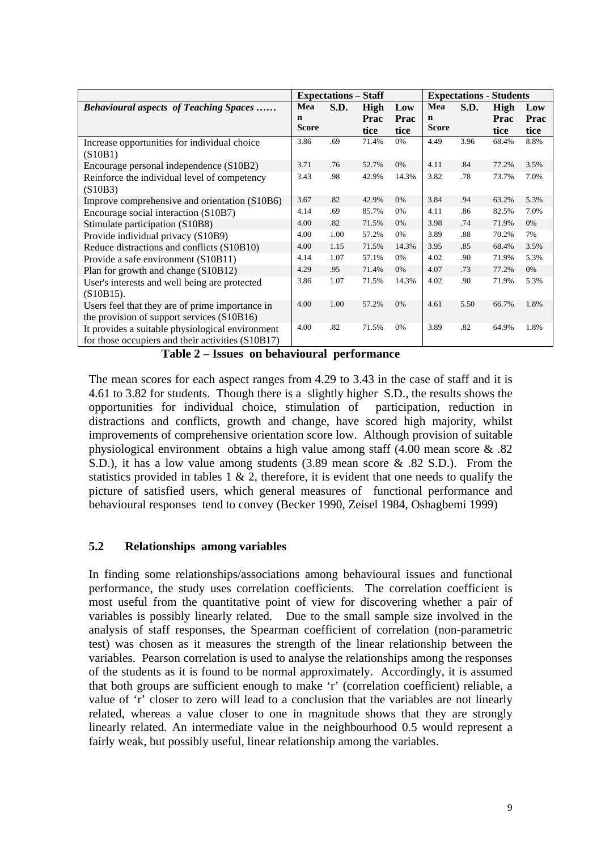|                                                                                                       | <b>Expectations – Staff</b> |      |                      |                     | <b>Expectations - Students</b> |      |                      |                     |
|-------------------------------------------------------------------------------------------------------|-----------------------------|------|----------------------|---------------------|--------------------------------|------|----------------------|---------------------|
| <b>Behavioural aspects of Teaching Spaces</b>                                                         | Mea<br>n<br><b>Score</b>    | S.D. | High<br>Prac<br>tice | Low<br>Prac<br>tice | Mea<br>$\mathbf n$<br>Score    | S.D. | High<br>Prac<br>tice | Low<br>Prac<br>tice |
| Increase opportunities for individual choice<br>(S10B1)                                               | 3.86                        | .69  | 71.4%                | $0\%$               | 4.49                           | 3.96 | 68.4%                | 8.8%                |
| Encourage personal independence (S10B2)                                                               | 3.71                        | .76  | 52.7%                | 0%                  | 4.11                           | .84  | 77.2%                | 3.5%                |
| Reinforce the individual level of competency<br>(S10B3)                                               | 3.43                        | .98  | 42.9%                | 14.3%               | 3.82                           | .78  | 73.7%                | 7.0%                |
| Improve comprehensive and orientation (S10B6)                                                         | 3.67                        | .82  | 42.9%                | 0%                  | 3.84                           | .94  | 63.2%                | 5.3%                |
| Encourage social interaction (S10B7)                                                                  | 4.14                        | .69  | 85.7%                | 0%                  | 4.11                           | .86  | 82.5%                | 7.0%                |
| Stimulate participation (S10B8)                                                                       | 4.00                        | .82  | 71.5%                | 0%                  | 3.98                           | .74  | 71.9%                | 0%                  |
| Provide individual privacy (S10B9)                                                                    | 4.00                        | 1.00 | 57.2%                | 0%                  | 3.89                           | .88  | 70.2%                | 7%                  |
| Reduce distractions and conflicts (S10B10)                                                            | 4.00                        | 1.15 | 71.5%                | 14.3%               | 3.95                           | .85  | 68.4%                | 3.5%                |
| Provide a safe environment (S10B11)                                                                   | 4.14                        | 1.07 | 57.1%                | 0%                  | 4.02                           | .90  | 71.9%                | 5.3%                |
| Plan for growth and change (S10B12)                                                                   | 4.29                        | .95  | 71.4%                | 0%                  | 4.07                           | .73  | 77.2%                | 0%                  |
| User's interests and well being are protected<br>$(S10B15)$ .                                         | 3.86                        | 1.07 | 71.5%                | 14.3%               | 4.02                           | .90  | 71.9%                | 5.3%                |
| Users feel that they are of prime importance in<br>the provision of support services (S10B16)         | 4.00                        | 1.00 | 57.2%                | 0%                  | 4.61                           | 5.50 | 66.7%                | 1.8%                |
| It provides a suitable physiological environment<br>for those occupiers and their activities (S10B17) | 4.00                        | .82  | 71.5%                | 0%                  | 3.89                           | .82  | 64.9%                | 1.8%                |

**Table 2 – Issues on behavioural performance** 

The mean scores for each aspect ranges from 4.29 to 3.43 in the case of staff and it is 4.61 to 3.82 for students. Though there is a slightly higher S.D., the results shows the opportunities for individual choice, stimulation of participation, reduction in distractions and conflicts, growth and change, have scored high majority, whilst improvements of comprehensive orientation score low. Although provision of suitable physiological environment obtains a high value among staff (4.00 mean score & .82 S.D.), it has a low value among students (3.89 mean score & .82 S.D.). From the statistics provided in tables  $1 \& 2$ , therefore, it is evident that one needs to qualify the picture of satisfied users, which general measures of functional performance and behavioural responses tend to convey (Becker 1990, Zeisel 1984, Oshagbemi 1999)

### **5.2 Relationships among variables**

In finding some relationships/associations among behavioural issues and functional performance, the study uses correlation coefficients. The correlation coefficient is most useful from the quantitative point of view for discovering whether a pair of variables is possibly linearly related. Due to the small sample size involved in the analysis of staff responses, the Spearman coefficient of correlation (non-parametric test) was chosen as it measures the strength of the linear relationship between the variables. Pearson correlation is used to analyse the relationships among the responses of the students as it is found to be normal approximately. Accordingly, it is assumed that both groups are sufficient enough to make 'r' (correlation coefficient) reliable, a value of 'r' closer to zero will lead to a conclusion that the variables are not linearly related, whereas a value closer to one in magnitude shows that they are strongly linearly related. An intermediate value in the neighbourhood 0.5 would represent a fairly weak, but possibly useful, linear relationship among the variables.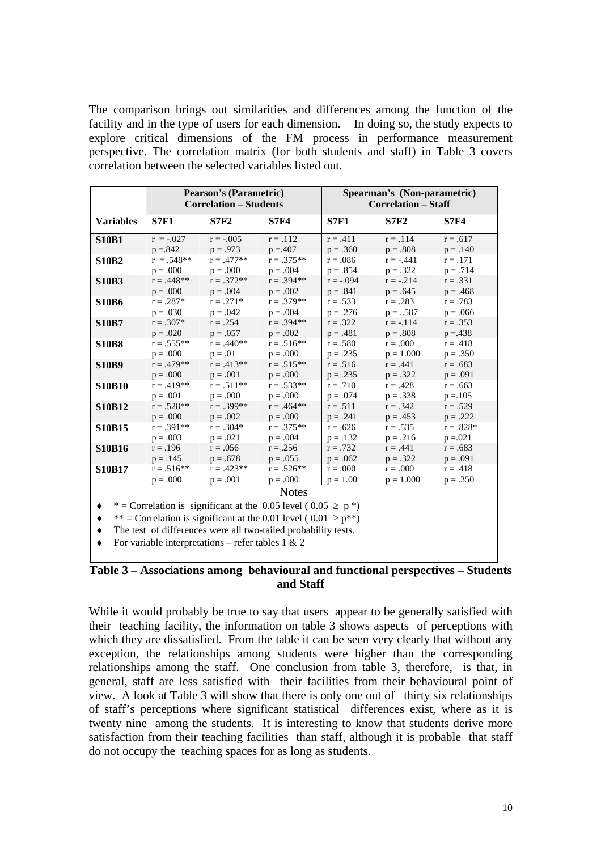The comparison brings out similarities and differences among the function of the facility and in the type of users for each dimension. In doing so, the study expects to explore critical dimensions of the FM process in performance measurement perspective. The correlation matrix (for both students and staff) in Table 3 covers correlation between the selected variables listed out.

|                                                                         | <b>Pearson's (Parametric)</b><br><b>Correlation - Students</b> |              |              | Spearman's (Non-parametric)<br><b>Correlation - Staff</b> |             |             |  |  |
|-------------------------------------------------------------------------|----------------------------------------------------------------|--------------|--------------|-----------------------------------------------------------|-------------|-------------|--|--|
| <b>Variables</b>                                                        | <b>S7F1</b>                                                    | <b>S7F2</b>  | <b>S7F4</b>  | <b>S7F1</b>                                               | <b>S7F2</b> | <b>S7F4</b> |  |  |
| <b>S10B1</b>                                                            | $r = -.027$                                                    | $r = -.005$  | $r = .112$   | $r = .411$                                                | $r = .114$  | $r = .617$  |  |  |
|                                                                         | $p = 842$                                                      | $p = .973$   | $p = 407$    | $p = .360$                                                | $p = .808$  | $p = .140$  |  |  |
| <b>S10B2</b>                                                            | $r = .548**$                                                   | $r = .477**$ | $r = .375**$ | $r = .086$                                                | $r = -.441$ | $r = .171$  |  |  |
|                                                                         | $p = .000$                                                     | $p = .000$   | $p = .004$   | $p = .854$                                                | $p = .322$  | $p = .714$  |  |  |
| <b>S10B3</b>                                                            | $r = .448**$                                                   | $r = .372**$ | $r = .394**$ | $r = -.094$                                               | $r = -.214$ | $r = .331$  |  |  |
|                                                                         | $p = .000$                                                     | $p = .004$   | $p = .002$   | $p = .841$                                                | $p = .645$  | $p = .468$  |  |  |
| <b>S10B6</b>                                                            | $r = .287*$                                                    | $r = .271*$  | $r = .379**$ | $r = .533$                                                | $r = .283$  | $r = .783$  |  |  |
|                                                                         | $p = .030$                                                     | $p = .042$   | $p = .004$   | $p = .276$                                                | $p = .587$  | $p = .066$  |  |  |
| <b>S10B7</b>                                                            | $r = .307*$                                                    | $r = .254$   | $r = .394**$ | $r = .322$                                                | $r = -114$  | $r = .353$  |  |  |
|                                                                         | $p = .020$                                                     | $p = .057$   | $p = .002$   | $p = .481$                                                | $p = .808$  | $p = 438$   |  |  |
| <b>S10B8</b>                                                            | $r = .555**$                                                   | $r = .440**$ | $r = .516**$ | $r = .580$                                                | $r = .000$  | $r = .418$  |  |  |
|                                                                         | $p = .000$                                                     | $p = .01$    | $p = .000$   | $p = .235$                                                | $p = 1.000$ | $p = .350$  |  |  |
| <b>S10B9</b>                                                            | $r = .479**$                                                   | $r = .413**$ | $r = .515**$ | $r = .516$                                                | $r = .441$  | $r = .683$  |  |  |
|                                                                         | $p = .000$                                                     | $p = .001$   | $p = .000$   | $p = .235$                                                | $p = .322$  | $p = .091$  |  |  |
| <b>S10B10</b>                                                           | $r = .419**$                                                   | $r = .511**$ | $r = .533**$ | $r = .710$                                                | $r = .428$  | $r = .663$  |  |  |
|                                                                         | $p = .001$                                                     | $p = .000$   | $p = .000$   | $p = .074$                                                | $p = .338$  | $p = 105$   |  |  |
| <b>S10B12</b>                                                           | $r = .528**$                                                   | $r = .399**$ | $r = .464**$ | $r = .511$                                                | $r = .342$  | $r = .529$  |  |  |
|                                                                         | $p = .000$                                                     | $p = .002$   | $p = .000$   | $p = .241$                                                | $p = .453$  | $p = .222$  |  |  |
| <b>S10B15</b>                                                           | $r = .391**$                                                   | $r = .304*$  | $r = .375**$ | $r = .626$                                                | $r = .535$  | $r = .828*$ |  |  |
|                                                                         | $p = .003$                                                     | $p = .021$   | $p = .004$   | $p = .132$                                                | $p = .216$  | $p = 0.021$ |  |  |
| <b>S10B16</b>                                                           | $r = .196$                                                     | $r = .056$   | $r = .256$   | $r = .732$                                                | $r = .441$  | $r = .683$  |  |  |
|                                                                         | $p = .145$                                                     | $p = .678$   | $p = .055$   | $p = .062$                                                | $p = .322$  | $p = .091$  |  |  |
| <b>S10B17</b>                                                           | $r = .516**$                                                   | $r = .423**$ | $r = .526**$ | $r = .000$                                                | $r = .000$  | $r = .418$  |  |  |
|                                                                         | $p = .000$                                                     | $p = .001$   | $p = .000$   | $p = 1.00$                                                | $p = 1.000$ | $p = .350$  |  |  |
| <b>Notes</b>                                                            |                                                                |              |              |                                                           |             |             |  |  |
| * = Correlation is significant at the 0.05 level (0.05 $\geq p$ *)      |                                                                |              |              |                                                           |             |             |  |  |
| ** = Correlation is significant at the 0.01 level (0.01 $\geq p^{**}$ ) |                                                                |              |              |                                                           |             |             |  |  |
| The test of differences were all two-tailed probability tests.          |                                                                |              |              |                                                           |             |             |  |  |
|                                                                         |                                                                |              |              |                                                           |             |             |  |  |
| For variable interpretations – refer tables 1 & 2                       |                                                                |              |              |                                                           |             |             |  |  |

**Table 3 – Associations among behavioural and functional perspectives – Students and Staff** 

While it would probably be true to say that users appear to be generally satisfied with their teaching facility, the information on table 3 shows aspects of perceptions with which they are dissatisfied. From the table it can be seen very clearly that without any exception, the relationships among students were higher than the corresponding relationships among the staff. One conclusion from table 3, therefore, is that, in general, staff are less satisfied with their facilities from their behavioural point of view. A look at Table 3 will show that there is only one out of thirty six relationships of staff's perceptions where significant statistical differences exist, where as it is twenty nine among the students. It is interesting to know that students derive more satisfaction from their teaching facilities than staff, although it is probable that staff do not occupy the teaching spaces for as long as students.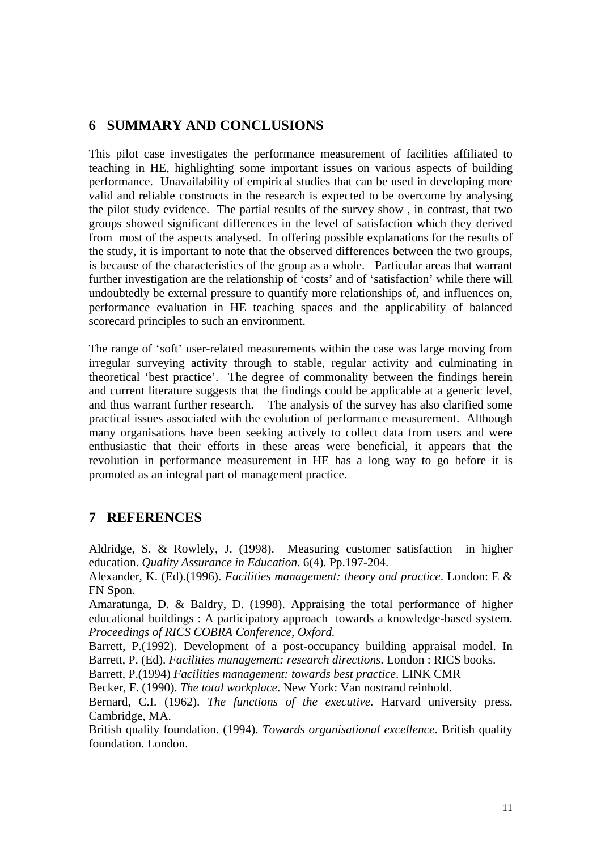## **6 SUMMARY AND CONCLUSIONS**

This pilot case investigates the performance measurement of facilities affiliated to teaching in HE, highlighting some important issues on various aspects of building performance. Unavailability of empirical studies that can be used in developing more valid and reliable constructs in the research is expected to be overcome by analysing the pilot study evidence. The partial results of the survey show , in contrast, that two groups showed significant differences in the level of satisfaction which they derived from most of the aspects analysed. In offering possible explanations for the results of the study, it is important to note that the observed differences between the two groups, is because of the characteristics of the group as a whole. Particular areas that warrant further investigation are the relationship of 'costs' and of 'satisfaction' while there will undoubtedly be external pressure to quantify more relationships of, and influences on, performance evaluation in HE teaching spaces and the applicability of balanced scorecard principles to such an environment.

The range of 'soft' user-related measurements within the case was large moving from irregular surveying activity through to stable, regular activity and culminating in theoretical 'best practice'. The degree of commonality between the findings herein and current literature suggests that the findings could be applicable at a generic level, and thus warrant further research. The analysis of the survey has also clarified some practical issues associated with the evolution of performance measurement. Although many organisations have been seeking actively to collect data from users and were enthusiastic that their efforts in these areas were beneficial, it appears that the revolution in performance measurement in HE has a long way to go before it is promoted as an integral part of management practice.

### **7 REFERENCES**

Aldridge, S. & Rowlely, J. (1998). Measuring customer satisfaction in higher education. *Quality Assurance in Education*. 6(4). Pp.197-204.

Alexander, K. (Ed).(1996). *Facilities management: theory and practice*. London: E & FN Spon.

Amaratunga, D. & Baldry, D. (1998). Appraising the total performance of higher educational buildings : A participatory approach towards a knowledge-based system. *Proceedings of RICS COBRA Conference, Oxford.*

Barrett, P.(1992). Development of a post-occupancy building appraisal model. In Barrett, P. (Ed). *Facilities management: research directions*. London : RICS books.

Barrett, P.(1994) *Facilities management: towards best practice*. LINK CMR

Becker, F. (1990). *The total workplace*. New York: Van nostrand reinhold.

Bernard, C.I. (1962). *The functions of the executive*. Harvard university press. Cambridge, MA.

British quality foundation. (1994). *Towards organisational excellence*. British quality foundation. London.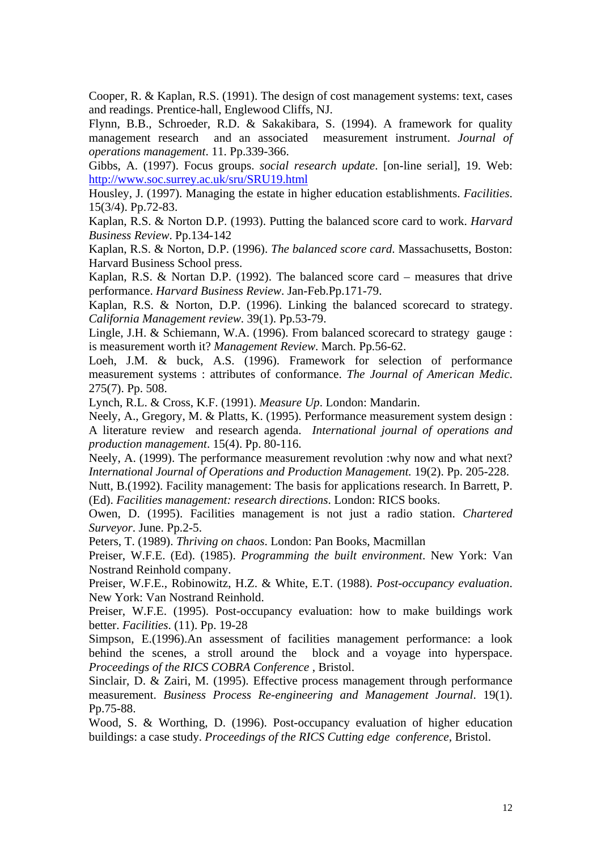Cooper, R. & Kaplan, R.S. (1991). The design of cost management systems: text, cases and readings. Prentice-hall, Englewood Cliffs, NJ.

Flynn, B.B., Schroeder, R.D. & Sakakibara, S. (1994). A framework for quality management research and an associated measurement instrument. *Journal of operations management*. 11. Pp.339-366.

Gibbs, A. (1997). Focus groups. *social research update*. [on-line serial], 19. Web: [http://www.soc.surrey.ac.uk/sru/SRU19.html](http://www.nova.edu/ssss/QR/QR3-2/tellis1.html)

Housley, J. (1997). Managing the estate in higher education establishments. *Facilities*. 15(3/4). Pp.72-83.

Kaplan, R.S. & Norton D.P. (1993). Putting the balanced score card to work. *Harvard Business Review*. Pp.134-142

Kaplan, R.S. & Norton, D.P. (1996). *The balanced score card*. Massachusetts, Boston: Harvard Business School press.

Kaplan, R.S. & Nortan D.P. (1992). The balanced score card – measures that drive performance. *Harvard Business Review*. Jan-Feb.Pp.171-79.

Kaplan, R.S. & Norton, D.P. (1996). Linking the balanced scorecard to strategy. *California Management review*. 39(1). Pp.53-79.

Lingle, J.H. & Schiemann, W.A. (1996). From balanced scorecard to strategy gauge : is measurement worth it? *Management Review*. March. Pp.56-62.

Loeh, J.M. & buck, A.S. (1996). Framework for selection of performance measurement systems : attributes of conformance. *The Journal of American Medic*. 275(7). Pp. 508.

Lynch, R.L. & Cross, K.F. (1991). *Measure Up*. London: Mandarin.

Neely, A., Gregory, M. & Platts, K. (1995). Performance measurement system design : A literature review and research agenda. *International journal of operations and production management*. 15(4). Pp. 80-116.

Neely, A. (1999). The performance measurement revolution :why now and what next? *International Journal of Operations and Production Management.* 19(2). Pp. 205-228.

Nutt, B.(1992). Facility management: The basis for applications research. In Barrett, P. (Ed). *Facilities management: research directions*. London: RICS books.

Owen, D. (1995). Facilities management is not just a radio station. *Chartered Surveyor*. June. Pp.2-5.

Peters, T. (1989). *Thriving on chaos*. London: Pan Books, Macmillan

Preiser, W.F.E. (Ed). (1985). *Programming the built environment*. New York: Van Nostrand Reinhold company.

Preiser, W.F.E., Robinowitz, H.Z. & White, E.T. (1988). *Post-occupancy evaluation*. New York: Van Nostrand Reinhold.

Preiser, W.F.E. (1995). Post-occupancy evaluation: how to make buildings work better. *Facilities*. (11). Pp. 19-28

Simpson, E.(1996).An assessment of facilities management performance: a look behind the scenes, a stroll around the block and a voyage into hyperspace. *Proceedings of the RICS COBRA Conference* , Bristol.

Sinclair, D. & Zairi, M. (1995). Effective process management through performance measurement. *Business Process Re-engineering and Management Journal*. 19(1). Pp.75-88.

Wood, S. & Worthing, D. (1996). Post-occupancy evaluation of higher education buildings: a case study. *Proceedings of the RICS Cutting edge conference,* Bristol.